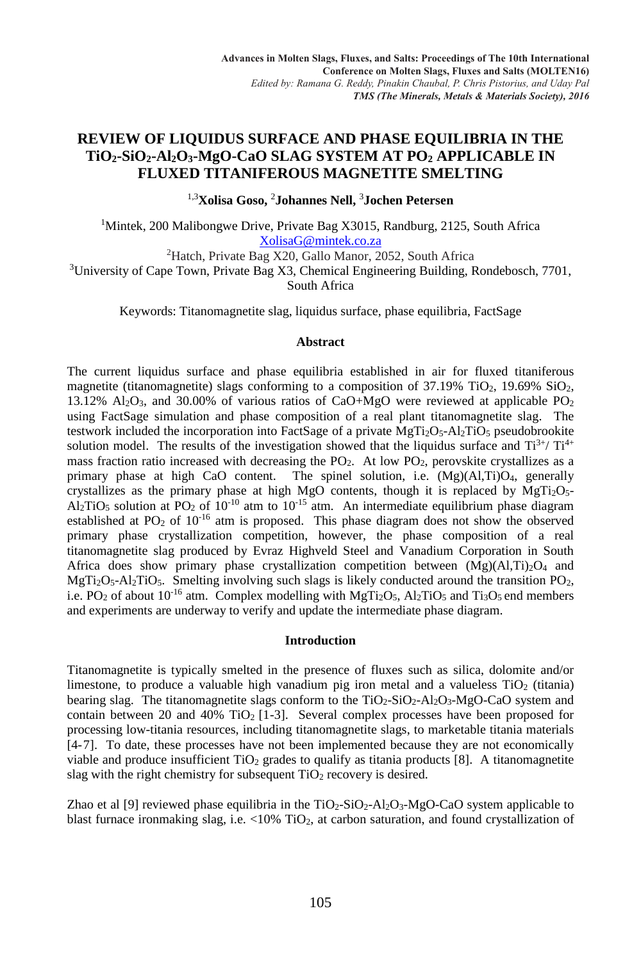# **REVIEW OF LIQUIDUS SURFACE AND PHASE EQUILIBRIA IN THE TiO2-SiO2-Al2O3-MgO-CaO SLAG SYSTEM AT PO<sup>2</sup> APPLICABLE IN FLUXED TITANIFEROUS MAGNETITE SMELTING**

1,3**Xolisa Goso,** <sup>2</sup>**Johannes Nell,** <sup>3</sup>**Jochen Petersen**

<sup>1</sup>Mintek, 200 Malibongwe Drive, Private Bag X3015, Randburg, 2125, South Africa XolisaG@mintek.co.za

<sup>2</sup>Hatch, Private Bag X20, Gallo Manor, 2052, South Africa <sup>3</sup>University of Cape Town, Private Bag X3, Chemical Engineering Building, Rondebosch, 7701, South Africa

Keywords: Titanomagnetite slag, liquidus surface, phase equilibria, FactSage

# **Abstract**

The current liquidus surface and phase equilibria established in air for fluxed titaniferous magnetite (titanomagnetite) slags conforming to a composition of  $37.19\%$  TiO<sub>2</sub>,  $19.69\%$  SiO<sub>2</sub>, 13.12%  $\text{Al}_2\text{O}_3$ , and 30.00% of various ratios of CaO+MgO were reviewed at applicable PO<sub>2</sub> using FactSage simulation and phase composition of a real plant titanomagnetite slag. The testwork included the incorporation into FactSage of a private  $MgTi<sub>2</sub>O<sub>5</sub>$ -Al<sub>2</sub>TiO<sub>5</sub> pseudobrookite solution model. The results of the investigation showed that the liquidus surface and  $Ti^{3+}/ Ti^{4+}$ mass fraction ratio increased with decreasing the PO<sub>2</sub>. At low PO<sub>2</sub>, perovskite crystallizes as a primary phase at high CaO content. The spinel solution, i.e.  $(Mg)(A1,Ti)O<sub>4</sub>$ , generally crystallizes as the primary phase at high MgO contents, though it is replaced by  $MgTi<sub>2</sub>O<sub>5</sub>$ -Al<sub>2</sub>TiO<sub>5</sub> solution at PO<sub>2</sub> of  $10^{-10}$  atm to  $10^{-15}$  atm. An intermediate equilibrium phase diagram established at  $PO_2$  of  $10^{-16}$  atm is proposed. This phase diagram does not show the observed primary phase crystallization competition, however, the phase composition of a real titanomagnetite slag produced by Evraz Highveld Steel and Vanadium Corporation in South Africa does show primary phase crystallization competition between  $(Mg)(A,Ti)_{2}O_{4}$  and  $MgTi<sub>2</sub>O<sub>5</sub> - Al<sub>2</sub>TiO<sub>5</sub>$ . Smelting involving such slags is likely conducted around the transition PO<sub>2</sub>, i.e. PO<sub>2</sub> of about 10<sup>-16</sup> atm. Complex modelling with MgTi<sub>2</sub>O<sub>5</sub>, Al<sub>2</sub>TiO<sub>5</sub> and Ti<sub>3</sub>O<sub>5</sub> end members and experiments are underway to verify and update the intermediate phase diagram.

# **Introduction**

Titanomagnetite is typically smelted in the presence of fluxes such as silica, dolomite and/or limestone, to produce a valuable high vanadium pig iron metal and a valueless  $TiO<sub>2</sub>$  (titania) bearing slag. The titanomagnetite slags conform to the  $TiO<sub>2</sub>-SiO<sub>2</sub>-Al<sub>2</sub>O<sub>3</sub>-MgO-CaO$  system and contain between 20 and 40% TiO<sub>2</sub> [1-3]. Several complex processes have been proposed for processing low-titania resources, including titanomagnetite slags, to marketable titania materials [4-7]. To date, these processes have not been implemented because they are not economically viable and produce insufficient  $TiO<sub>2</sub>$  grades to qualify as titania products [8]. A titanomagnetite slag with the right chemistry for subsequent  $TiO<sub>2</sub>$  recovery is desired.

Zhao et al [9] reviewed phase equilibria in the  $TiO<sub>2</sub>-SiO<sub>2</sub>-Al<sub>2</sub>O<sub>3</sub>-MgO-CaO$  system applicable to blast furnace ironmaking slag, i.e. <10% TiO<sub>2</sub>, at carbon saturation, and found crystallization of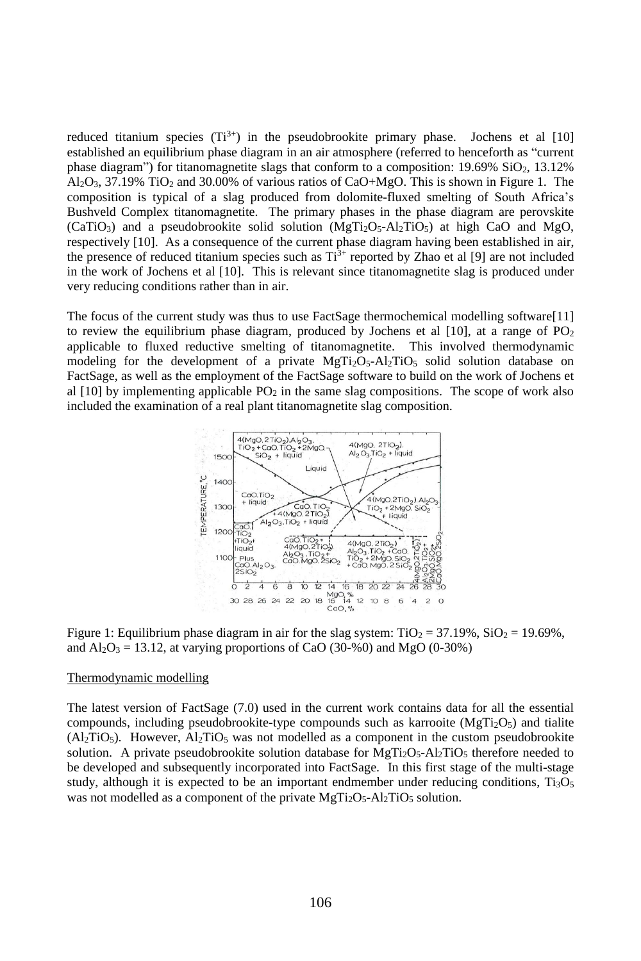reduced titanium species  $(Ti^{3+})$  in the pseudobrookite primary phase. Jochens et al [10] established an equilibrium phase diagram in an air atmosphere (referred to henceforth as "current phase diagram") for titanomagnetite slags that conform to a composition:  $19.69\%$  SiO<sub>2</sub>, 13.12%  $A<sub>12</sub>O<sub>3</sub>$ , 37.19% TiO<sub>2</sub> and 30.00% of various ratios of CaO+MgO. This is shown in Figure 1. The composition is typical of a slag produced from dolomite-fluxed smelting of South Africa's Bushveld Complex titanomagnetite. The primary phases in the phase diagram are perovskite  $(CaTiO<sub>3</sub>)$  and a pseudobrookite solid solution  $(MgTi<sub>2</sub>O<sub>5</sub>-Al<sub>2</sub>TiO<sub>5</sub>)$  at high CaO and MgO, respectively [10]. As a consequence of the current phase diagram having been established in air, the presence of reduced titanium species such as  $Ti^{3+}$  reported by Zhao et al [9] are not included in the work of Jochens et al [10]. This is relevant since titanomagnetite slag is produced under very reducing conditions rather than in air.

The focus of the current study was thus to use FactSage thermochemical modelling software[11] to review the equilibrium phase diagram, produced by Jochens et al  $[10]$ , at a range of PO<sub>2</sub> applicable to fluxed reductive smelting of titanomagnetite. This involved thermodynamic modeling for the development of a private  $MgTi<sub>2</sub>O<sub>5</sub>-Al<sub>2</sub>TiO<sub>5</sub>$  solid solution database on FactSage, as well as the employment of the FactSage software to build on the work of Jochens et al  $[10]$  by implementing applicable PO<sub>2</sub> in the same slag compositions. The scope of work also included the examination of a real plant titanomagnetite slag composition.



Figure 1: Equilibrium phase diagram in air for the slag system:  $TiO<sub>2</sub> = 37.19\%$ ,  $SiO<sub>2</sub> = 19.69\%$ , and  $Al_2O_3 = 13.12$ , at varying proportions of CaO (30-%0) and MgO (0-30%)

#### Thermodynamic modelling

The latest version of FactSage (7.0) used in the current work contains data for all the essential compounds, including pseudobrookite-type compounds such as karrooite  $(MgTi<sub>2</sub>O<sub>5</sub>)$  and tialite  $(A<sub>2</sub>TiO<sub>5</sub>)$ . However,  $A<sub>2</sub>TiO<sub>5</sub>$  was not modelled as a component in the custom pseudobrookite solution. A private pseudobrookite solution database for  $MgTi<sub>2</sub>O<sub>5</sub>$ -Al<sub>2</sub>TiO<sub>5</sub> therefore needed to be developed and subsequently incorporated into FactSage. In this first stage of the multi-stage study, although it is expected to be an important endmember under reducing conditions, Ti3O<sub>5</sub> was not modelled as a component of the private  $MgTi<sub>2</sub>O<sub>5</sub>-Al<sub>2</sub>TiO<sub>5</sub>$  solution.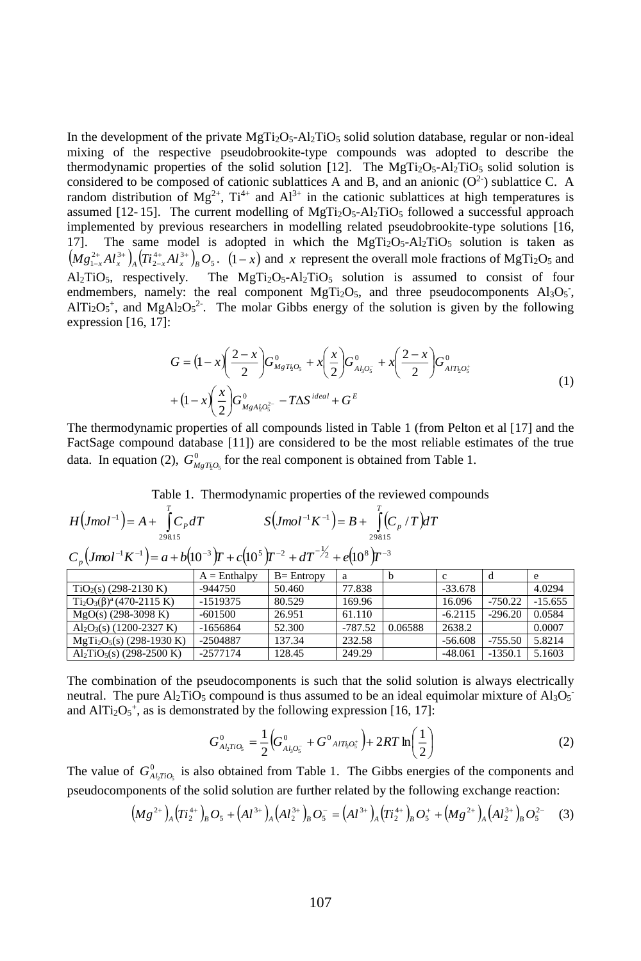In the development of the private  $MgTi_2O_5$ -Al<sub>2</sub>TiO<sub>5</sub> solid solution database, regular or non-ideal mixing of the respective pseudobrookite-type compounds was adopted to describe the thermodynamic properties of the solid solution [12]. The MgTi<sub>2</sub>O<sub>5</sub>-Al<sub>2</sub>TiO<sub>5</sub> solid solution is considered to be composed of cationic sublattices A and B, and an anionic  $(O<sup>2</sup>)$  sublattice C. A random distribution of  $Mg^{2+}$ ,  $Ti^{4+}$  and  $Al^{3+}$  in the cationic sublattices at high temperatures is assumed  $[12-15]$ . The current modelling of MgTi<sub>2</sub>O<sub>5</sub>-Al<sub>2</sub>TiO<sub>5</sub> followed a successful approach implemented by previous researchers in modelling related pseudobrookite-type solutions [16, 17]. The same model is adopted in which the  $MgTi<sub>2</sub>O<sub>5</sub>-Al<sub>2</sub>TiO<sub>5</sub>$  solution is taken as  $(Mg_{1-x}^{2+}Al_x^{3+})_A(Ti_{2-x}^{4+}Al_x^{3+})_B O_5$ .  $(1-x)$  and x represent the overall mole fractions of MgTi<sub>2</sub>O<sub>5</sub> and  $A1_2TiO_5$ , respectively. The  $MgTi_2O_5-A1_2TiO_5$  solution is assumed to consist of four endmembers, namely: the real component  $MgTi<sub>2</sub>O<sub>5</sub>$ , and three pseudocomponents  $Al<sub>3</sub>O<sub>5</sub>$ ,  $AITi<sub>2</sub>O<sub>5</sub><sup>+</sup>$ , and MgAl<sub>2</sub>O<sub>5</sub><sup>2</sup>. The molar Gibbs energy of the solution is given by the following expression [16, 17]:

$$
G = (1 - x) \left(\frac{2 - x}{2}\right) G_{MgT_{k}O_{s}}^{0} + x \left(\frac{x}{2}\right) G_{A_{k}O_{s}}^{0} + x \left(\frac{2 - x}{2}\right) G_{A_{l}T_{k}O_{s}}^{0}
$$
  
+ 
$$
(1 - x) \left(\frac{x}{2}\right) G_{MgA_{k}O_{s}}^{0} - T\Delta S^{ideal} + G^{E}
$$
 (1)

The thermodynamic properties of all compounds listed in Table 1 (from Pelton et al [17] and the FactSage compound database [11]) are considered to be the most reliable estimates of the true data. In equation (2),  $G_{MgTi,0,\zeta}^{0}$  for the real component is obtained from Table 1.

Table 1. Thermodynamic properties of the reviewed compounds

| $H\left( Jmol^{-1} \right) = A + \int C_P dT$ | $S\left( Jmol^{-1}K^{-1} \right) = B + \int_{0}^{L} (C_p / T) dT$                                                                               |  |
|-----------------------------------------------|-------------------------------------------------------------------------------------------------------------------------------------------------|--|
|                                               | $C_p \left( Jmol^{-1}K^{-1} \right) = a + b \left( 10^{-3} \right) T + c \left( 10^5 \right) T^{-2} + dT^{-1/2} + e \left( 10^8 \right) T^{-3}$ |  |

|                                        | $A = Enthalpy$ | $B = Entropy$ | а         | h       | c         | d         | е         |
|----------------------------------------|----------------|---------------|-----------|---------|-----------|-----------|-----------|
| $TiO2(s)$ (298-2130 K)                 | -944750        | 50.460        | 77.838    |         | $-33.678$ |           | 4.0294    |
| $Ti_2O_3(\beta)^a(470-2115 \text{ K})$ | -1519375       | 80.529        | 169.96    |         | 16.096    | $-750.22$ | $-15.655$ |
| $MgO(s)$ (298-3098 K)                  | $-601500$      | 26.951        | 61.110    |         | $-6.2115$ | $-296.20$ | 0.0584    |
| $Al_2O_3(s)$ (1200-2327 K)             | $-1656864$     | 52.300        | $-787.52$ | 0.06588 | 2638.2    |           | 0.0007    |
| $MgTi2O5(s)$ (298-1930 K)              | -2504887       | 137.34        | 232.58    |         | $-56.608$ | $-755.50$ | 5.8214    |
| $Al2TiO5(s)$ (298-2500 K)              | -2577174       | 128.45        | 249.29    |         | $-48.061$ | $-1350.1$ | 5.1603    |

The combination of the pseudocomponents is such that the solid solution is always electrically neutral. The pure  $Al_2TiO_5$  compound is thus assumed to be an ideal equimolar mixture of  $Al_3O_5$ and AlTi<sub>2</sub>O<sub>5</sub><sup>+</sup>, as is demonstrated by the following expression [16, 17]:

$$
G_{A_2TiO_5}^0 = \frac{1}{2} \Big( G_{A_1O_5^-}^0 + G_{AIT_2O_5^+}^0 \Big) + 2RT \ln \Big( \frac{1}{2} \Big)
$$
 (2)

The value of  $G^0_{A\&TIO_5}$  is also obtained from Table 1. The Gibbs energies of the components and pseudocomponents of the solid solution are further related by the following exchange reaction:

$$
\left(Mg^{2+}\right)_{A}\left(T_{2}^{4+}\right)_{B}O_{5}+\left(Al^{3+}\right)_{A}\left(Al_{2}^{3+}\right)_{B}O_{5}^{-}=\left(Al^{3+}\right)_{A}\left(T_{2}^{4+}\right)_{B}O_{5}^{+}+\left(Mg^{2+}\right)_{A}\left(Al_{2}^{3+}\right)_{B}O_{5}^{2-}\quad(3)
$$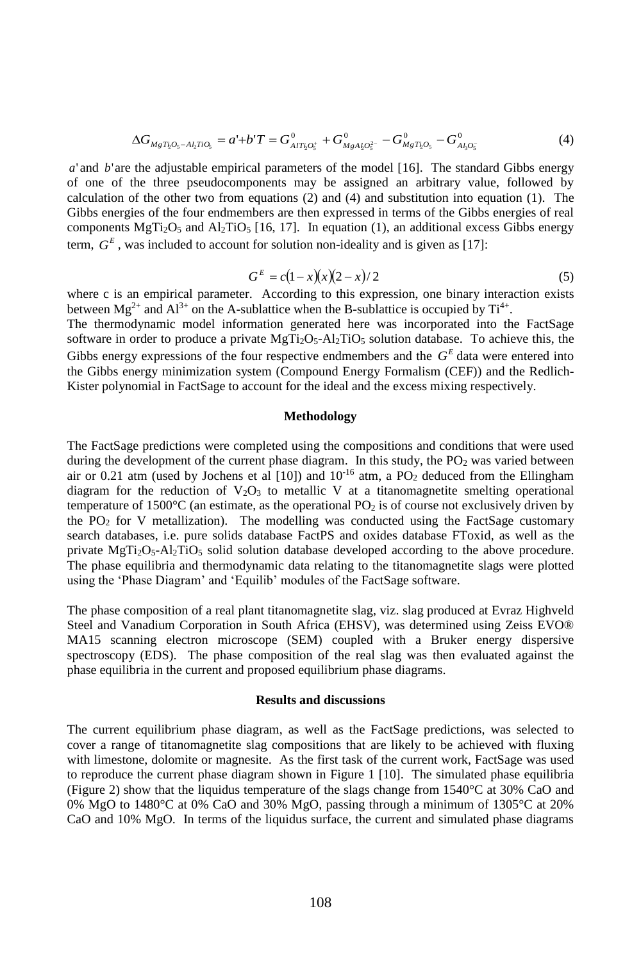$$
\Delta G_{MgT_2O_5 - A L T I O_5} = a' + b'T = G_{AIT_2O_5^+}^0 + G_{MgA_2O_5^-}^0 - G_{MgT_2O_5}^0 - G_{A_2O_5^-}^0
$$
\n<sup>(4)</sup>

*a*' and *b*' are the adjustable empirical parameters of the model [16]. The standard Gibbs energy of one of the three pseudocomponents may be assigned an arbitrary value, followed by calculation of the other two from equations  $(2)$  and  $(4)$  and substitution into equation  $(1)$ . The Gibbs energies of the four endmembers are then expressed in terms of the Gibbs energies of real components MgT<sub>i2</sub>O<sub>5</sub> and Al<sub>2</sub>TiO<sub>5</sub> [16, 17]. In equation (1), an additional excess Gibbs energy term,  $G<sup>E</sup>$ , was included to account for solution non-ideality and is given as [17]:

$$
GE = c(1-x)(x)(2-x)/2
$$
 (5)

where c is an empirical parameter. According to this expression, one binary interaction exists between  $Mg^{2+}$  and  $Al^{3+}$  on the A-sublattice when the B-sublattice is occupied by Ti<sup>4+</sup>.

The thermodynamic model information generated here was incorporated into the FactSage software in order to produce a private MgTi<sub>2</sub>O<sub>5</sub>-Al<sub>2</sub>TiO<sub>5</sub> solution database. To achieve this, the Gibbs energy expressions of the four respective endmembers and the  $G<sup>E</sup>$  data were entered into the Gibbs energy minimization system (Compound Energy Formalism (CEF)) and the Redlich-Kister polynomial in FactSage to account for the ideal and the excess mixing respectively.

#### **Methodology**

The FactSage predictions were completed using the compositions and conditions that were used during the development of the current phase diagram. In this study, the  $PO<sub>2</sub>$  was varied between air or 0.21 atm (used by Jochens et al  $[10]$ ) and  $10^{-16}$  atm, a PO<sub>2</sub> deduced from the Ellingham diagram for the reduction of  $V_2O_3$  to metallic V at a titanomagnetite smelting operational temperature of 1500 $\degree$ C (an estimate, as the operational PO<sub>2</sub> is of course not exclusively driven by the  $PO<sub>2</sub>$  for V metallization). The modelling was conducted using the FactSage customary search databases, i.e. pure solids database FactPS and oxides database FToxid, as well as the private MgTi2O5-Al2TiO5 solid solution database developed according to the above procedure. The phase equilibria and thermodynamic data relating to the titanomagnetite slags were plotted using the 'Phase Diagram' and 'Equilib' modules of the FactSage software.

The phase composition of a real plant titanomagnetite slag, viz. slag produced at Evraz Highveld Steel and Vanadium Corporation in South Africa (EHSV), was determined using Zeiss EVO® MA15 scanning electron microscope (SEM) coupled with a Bruker energy dispersive spectroscopy (EDS). The phase composition of the real slag was then evaluated against the phase equilibria in the current and proposed equilibrium phase diagrams.

#### **Results and discussions**

The current equilibrium phase diagram, as well as the FactSage predictions, was selected to cover a range of titanomagnetite slag compositions that are likely to be achieved with fluxing with limestone, dolomite or magnesite. As the first task of the current work, FactSage was used to reproduce the current phase diagram shown in Figure 1 [10]. The simulated phase equilibria (Figure 2) show that the liquidus temperature of the slags change from 1540°C at 30% CaO and 0% MgO to 1480°C at 0% CaO and 30% MgO, passing through a minimum of 1305°C at 20% CaO and 10% MgO. In terms of the liquidus surface, the current and simulated phase diagrams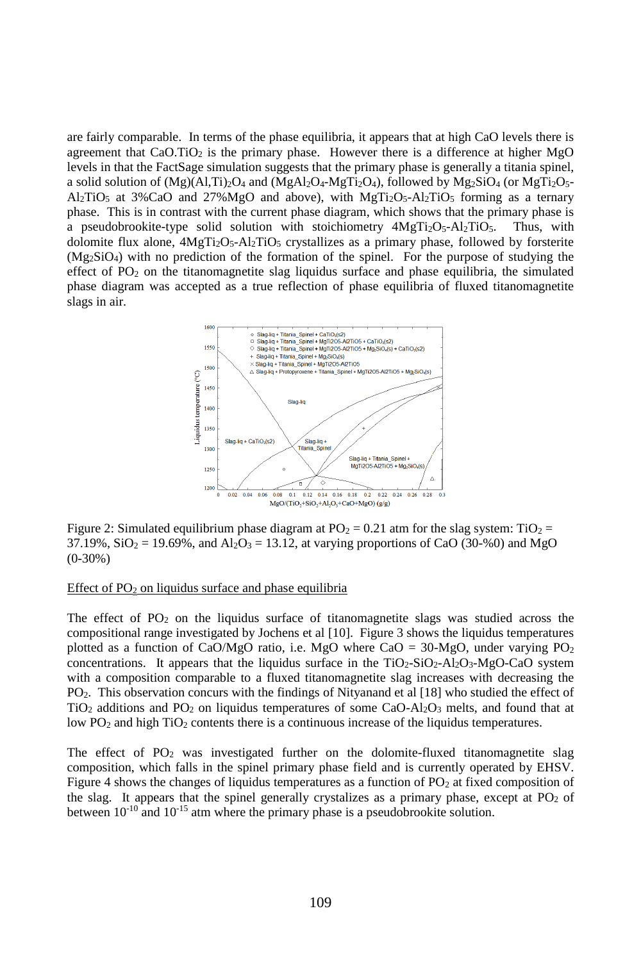are fairly comparable. In terms of the phase equilibria, it appears that at high CaO levels there is agreement that  $CaO.TiO<sub>2</sub>$  is the primary phase. However there is a difference at higher MgO levels in that the FactSage simulation suggests that the primary phase is generally a titania spinel, a solid solution of  $(Mg)(A1,Ti)_{2}O_{4}$  and  $(MgA1_{2}O_{4}-MgTi_{2}O_{4})$ , followed by  $Mg_{2}SiO_{4}$  (or  $MgTi_{2}O_{5}$ - $A1_2TiO_5$  at 3%CaO and 27%MgO and above), with MgTi<sub>2</sub>O<sub>5</sub>-Al<sub>2</sub>TiO<sub>5</sub> forming as a ternary phase. This is in contrast with the current phase diagram, which shows that the primary phase is a pseudobrookite-type solid solution with stoichiometry  $4MgTi<sub>2</sub>O<sub>5</sub>$ -Al<sub>2</sub>TiO<sub>5</sub>. Thus, with dolomite flux alone,  $4MgTi<sub>2</sub>O<sub>5</sub> - Al<sub>2</sub>TiO<sub>5</sub> crystallizes as a primary phase, followed by forsterite$  $(Mg_2SiO_4)$  with no prediction of the formation of the spinel. For the purpose of studying the effect of  $PO_2$  on the titanomagnetite slag liquidus surface and phase equilibria, the simulated phase diagram was accepted as a true reflection of phase equilibria of fluxed titanomagnetite slags in air.



Figure 2: Simulated equilibrium phase diagram at  $PO_2 = 0.21$  atm for the slag system: TiO<sub>2</sub> =  $37.19\%$ ,  $SiO_2 = 19.69\%$ , and  $Al_2O_3 = 13.12$ , at varying proportions of CaO (30-%0) and MgO (0-30%)

# Effect of  $PO<sub>2</sub>$  on liquidus surface and phase equilibria

The effect of  $PO<sub>2</sub>$  on the liquidus surface of titanomagnetite slags was studied across the compositional range investigated by Jochens et al [10]. Figure 3 shows the liquidus temperatures plotted as a function of CaO/MgO ratio, i.e. MgO where CaO =  $30$ -MgO, under varying PO<sub>2</sub> concentrations. It appears that the liquidus surface in the  $TiO<sub>2</sub>-SiO<sub>2</sub>-Al<sub>2</sub>O<sub>3</sub>-M<sub>2</sub>O-CaO$  system with a composition comparable to a fluxed titanomagnetite slag increases with decreasing the PO2. This observation concurs with the findings of Nityanand et al [18] who studied the effect of  $TiO<sub>2</sub>$  additions and PO<sub>2</sub> on liquidus temperatures of some CaO-Al<sub>2</sub>O<sub>3</sub> melts, and found that at low  $PO<sub>2</sub>$  and high  $TiO<sub>2</sub>$  contents there is a continuous increase of the liquidus temperatures.

The effect of  $PO_2$  was investigated further on the dolomite-fluxed titanomagnetite slag composition, which falls in the spinel primary phase field and is currently operated by EHSV. Figure 4 shows the changes of liquidus temperatures as a function of PO<sub>2</sub> at fixed composition of the slag. It appears that the spinel generally crystalizes as a primary phase, except at  $PO<sub>2</sub>$  of between  $10^{-10}$  and  $10^{-15}$  atm where the primary phase is a pseudobrookite solution.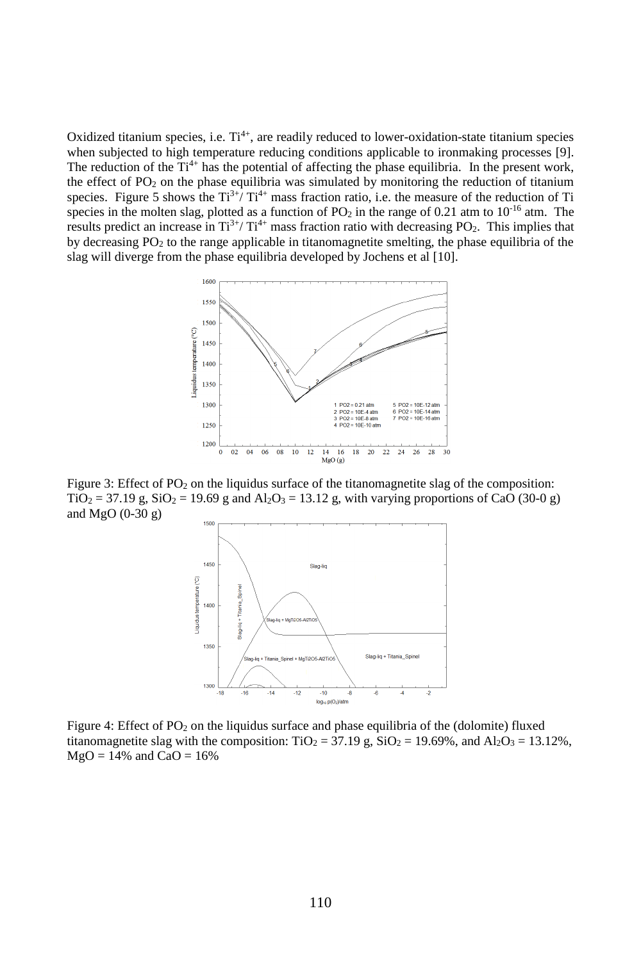Oxidized titanium species, i.e.  $Ti^{4+}$ , are readily reduced to lower-oxidation-state titanium species when subjected to high temperature reducing conditions applicable to ironmaking processes [9]. The reduction of the  $Ti<sup>4+</sup>$  has the potential of affecting the phase equilibria. In the present work, the effect of  $PO_2$  on the phase equilibria was simulated by monitoring the reduction of titanium species. Figure 5 shows the  $Ti^{3+}/ Ti^{4+}$  mass fraction ratio, i.e. the measure of the reduction of Ti species in the molten slag, plotted as a function of PO<sub>2</sub> in the range of 0.21 atm to  $10^{-16}$  atm. The results predict an increase in  $Ti^{3+}/ Ti^{4+}$  mass fraction ratio with decreasing PO<sub>2</sub>. This implies that by decreasing PO<sup>2</sup> to the range applicable in titanomagnetite smelting, the phase equilibria of the slag will diverge from the phase equilibria developed by Jochens et al [10].



Figure 3: Effect of  $PO<sub>2</sub>$  on the liquidus surface of the titanomagnetite slag of the composition:  $TiO<sub>2</sub> = 37.19$  g,  $SiO<sub>2</sub> = 19.69$  g and  $Al<sub>2</sub>O<sub>3</sub> = 13.12$  g, with varying proportions of CaO (30-0 g) and MgO (0-30 g)



Figure 4: Effect of  $PO_2$  on the liquidus surface and phase equilibria of the (dolomite) fluxed titanomagnetite slag with the composition:  $TiO<sub>2</sub> = 37.19$  g,  $SiO<sub>2</sub> = 19.69%$ , and  $Al<sub>2</sub>O<sub>3</sub> = 13.12%$ ,  $MgO = 14%$  and  $CaO = 16%$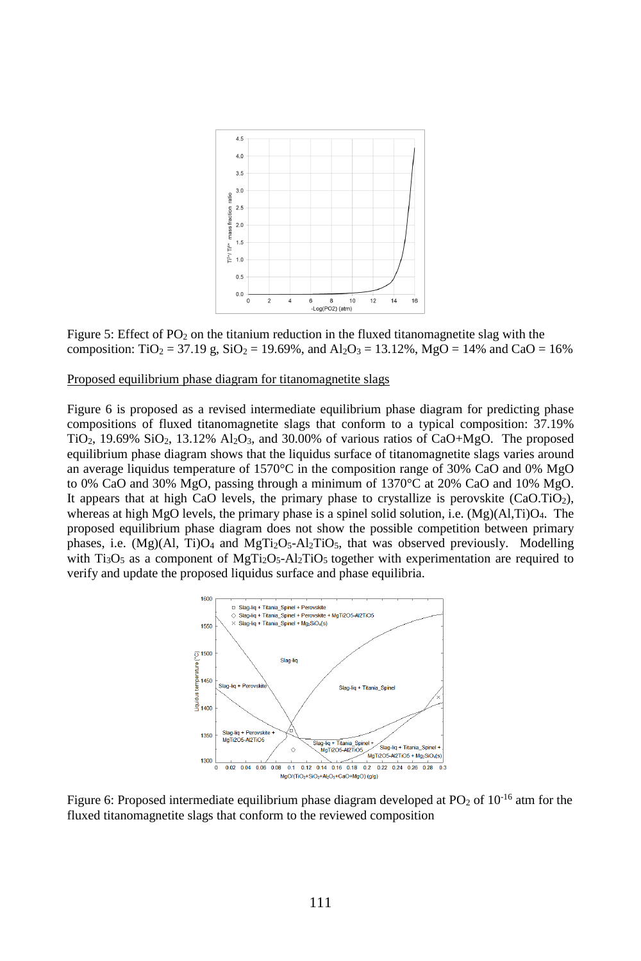

Figure 5: Effect of  $PO<sub>2</sub>$  on the titanium reduction in the fluxed titanomagnetite slag with the composition: TiO<sub>2</sub> = 37.19 g, SiO<sub>2</sub> = 19.69%, and Al<sub>2</sub>O<sub>3</sub> = 13.12%, MgO = 14% and CaO = 16%

# Proposed equilibrium phase diagram for titanomagnetite slags

Figure 6 is proposed as a revised intermediate equilibrium phase diagram for predicting phase compositions of fluxed titanomagnetite slags that conform to a typical composition: 37.19%  $TiO<sub>2</sub>$ , 19.69%  $SiO<sub>2</sub>$ , 13.12%  $Al<sub>2</sub>O<sub>3</sub>$ , and 30.00% of various ratios of CaO+MgO. The proposed equilibrium phase diagram shows that the liquidus surface of titanomagnetite slags varies around an average liquidus temperature of 1570 $\degree$ C in the composition range of 30% CaO and 0% MgO to 0% CaO and 30% MgO, passing through a minimum of 1370°C at 20% CaO and 10% MgO. It appears that at high CaO levels, the primary phase to crystallize is perovskite  $(CaO.TiO<sub>2</sub>)$ , whereas at high MgO levels, the primary phase is a spinel solid solution, i.e.  $(Mg)(A,IT)O<sub>4</sub>$ . The proposed equilibrium phase diagram does not show the possible competition between primary phases, i.e.  $(Mg)(Al, Ti)O<sub>4</sub>$  and  $MgTi<sub>2</sub>O<sub>5</sub>-Al<sub>2</sub>TiO<sub>5</sub>$ , that was observed previously. Modelling with  $Ti<sub>3</sub>O<sub>5</sub>$  as a component of MgTi<sub>2</sub>O<sub>5</sub>-Al<sub>2</sub>TiO<sub>5</sub> together with experimentation are required to verify and update the proposed liquidus surface and phase equilibria.



Figure 6: Proposed intermediate equilibrium phase diagram developed at  $PO<sub>2</sub>$  of  $10<sup>-16</sup>$  atm for the fluxed titanomagnetite slags that conform to the reviewed composition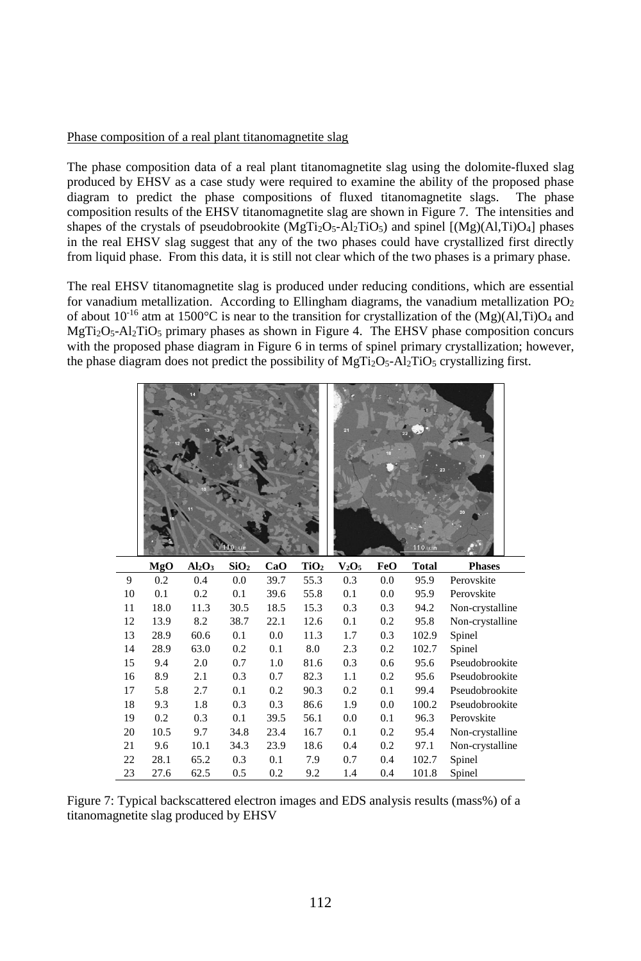# Phase composition of a real plant titanomagnetite slag

The phase composition data of a real plant titanomagnetite slag using the dolomite-fluxed slag produced by EHSV as a case study were required to examine the ability of the proposed phase diagram to predict the phase compositions of fluxed titanomagnetite slags. The phase composition results of the EHSV titanomagnetite slag are shown in Figure 7. The intensities and shapes of the crystals of pseudobrookite  $(MgTi<sub>2</sub>O<sub>5</sub>-Al<sub>2</sub>TiO<sub>5</sub>)$  and spinel  $[(Mg)(AI,Ti)O<sub>4</sub>]$  phases in the real EHSV slag suggest that any of the two phases could have crystallized first directly from liquid phase. From this data, it is still not clear which of the two phases is a primary phase.

The real EHSV titanomagnetite slag is produced under reducing conditions, which are essential for vanadium metallization. According to Ellingham diagrams, the vanadium metallization  $PO<sub>2</sub>$ of about  $10^{-16}$  atm at 1500°C is near to the transition for crystallization of the (Mg)(Al,Ti)O<sub>4</sub> and  $MgTi<sub>2</sub>O<sub>5</sub>-Al<sub>2</sub>TiO<sub>5</sub> primary phases as shown in Figure 4. The EHSV phase composition concurs$ with the proposed phase diagram in Figure 6 in terms of spinel primary crystallization; however, the phase diagram does not predict the possibility of  $MgTi<sub>2</sub>O<sub>5</sub>$ -Al<sub>2</sub>TiO<sub>5</sub> crystallizing first.

|    |      |                                | um               |      |                  | 21       |     | 110 um |                 |
|----|------|--------------------------------|------------------|------|------------------|----------|-----|--------|-----------------|
|    | MgO  | Al <sub>2</sub> O <sub>3</sub> | SiO <sub>2</sub> | CaO  | TiO <sub>2</sub> | $V_2O_5$ | FeO | Total  | <b>Phases</b>   |
| 9  | 0.2  | 0.4                            | 0.0              | 39.7 | 55.3             | 0.3      | 0.0 | 95.9   | Perovskite      |
| 10 | 0.1  | 0.2                            | 0.1              | 39.6 | 55.8             | 0.1      | 0.0 | 95.9   | Perovskite      |
| 11 | 18.0 | 11.3                           | 30.5             | 18.5 | 15.3             | 0.3      | 0.3 | 94.2   | Non-crystalline |
| 12 | 13.9 | 8.2                            | 38.7             | 22.1 | 12.6             | 0.1      | 0.2 | 95.8   | Non-crystalline |
| 13 | 28.9 | 60.6                           | 0.1              | 0.0  | 11.3             | 1.7      | 0.3 | 102.9  | Spinel          |
| 14 | 28.9 | 63.0                           | 0.2              | 0.1  | 8.0              | 2.3      | 0.2 | 102.7  | Spinel          |
| 15 | 9.4  | 2.0                            | 0.7              | 1.0  | 81.6             | 0.3      | 0.6 | 95.6   | Pseudobrookite  |
| 16 | 8.9  | 2.1                            | 0.3              | 0.7  | 82.3             | 1.1      | 0.2 | 95.6   | Pseudobrookite  |
| 17 | 5.8  | 2.7                            | 0.1              | 0.2  | 90.3             | 0.2      | 0.1 | 99.4   | Pseudobrookite  |
| 18 | 9.3  | 1.8                            | 0.3              | 0.3  | 86.6             | 1.9      | 0.0 | 100.2  | Pseudobrookite  |
| 19 | 0.2  | 0.3                            | 0.1              | 39.5 | 56.1             | 0.0      | 0.1 | 96.3   | Perovskite      |
| 20 | 10.5 | 9.7                            | 34.8             | 23.4 | 16.7             | 0.1      | 0.2 | 95.4   | Non-crystalline |
| 21 | 9.6  | 10.1                           | 34.3             | 23.9 | 18.6             | 0.4      | 0.2 | 97.1   | Non-crystalline |
| 22 | 28.1 | 65.2                           | 0.3              | 0.1  | 7.9              | 0.7      | 0.4 | 102.7  | Spinel          |
| 23 | 27.6 | 62.5                           | 0.5              | 0.2  | 9.2              | 1.4      | 0.4 | 101.8  | Spinel          |

Figure 7: Typical backscattered electron images and EDS analysis results (mass%) of a titanomagnetite slag produced by EHSV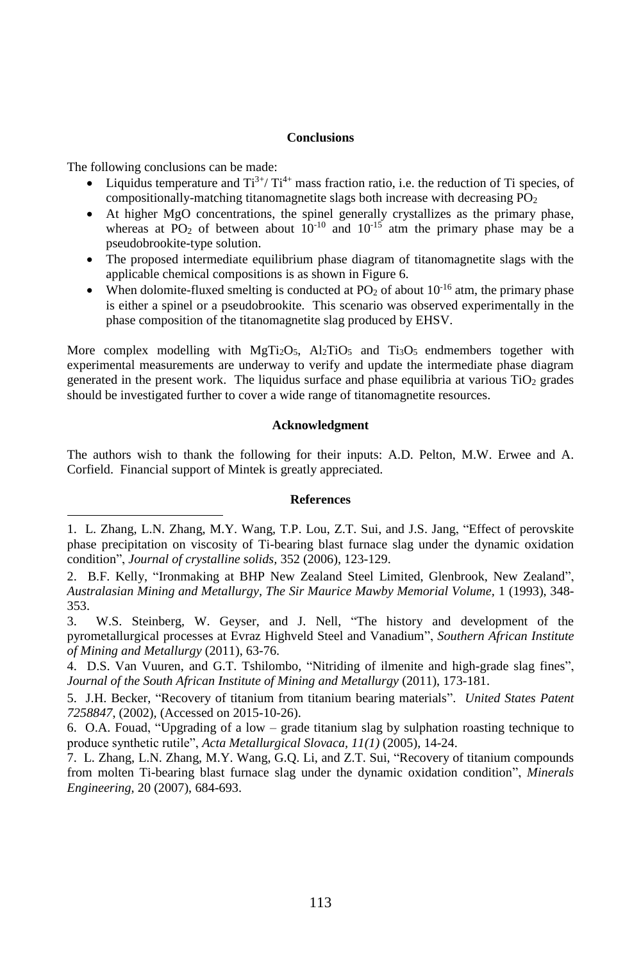#### **Conclusions**

The following conclusions can be made:

j

- Liquidus temperature and  $\text{Ti}^{3+}/\text{Ti}^{4+}$  mass fraction ratio, i.e. the reduction of Ti species, of compositionally-matching titanomagnetite slags both increase with decreasing  $PO<sub>2</sub>$
- At higher MgO concentrations, the spinel generally crystallizes as the primary phase, whereas at  $\overline{PO_2}$  of between about  $10^{-10}$  and  $10^{-15}$  atm the primary phase may be a pseudobrookite-type solution.
- The proposed intermediate equilibrium phase diagram of titanomagnetite slags with the applicable chemical compositions is as shown in Figure 6.
- When dolomite-fluxed smelting is conducted at  $PO_2$  of about  $10^{-16}$  atm, the primary phase is either a spinel or a pseudobrookite. This scenario was observed experimentally in the phase composition of the titanomagnetite slag produced by EHSV.

More complex modelling with MgTi<sub>2</sub>O<sub>5</sub>, Al<sub>2</sub>TiO<sub>5</sub> and Ti<sub>3</sub>O<sub>5</sub> endmembers together with experimental measurements are underway to verify and update the intermediate phase diagram generated in the present work. The liquidus surface and phase equilibria at various  $TiO<sub>2</sub>$  grades should be investigated further to cover a wide range of titanomagnetite resources.

#### **Acknowledgment**

The authors wish to thank the following for their inputs: A.D. Pelton, M.W. Erwee and A. Corfield. Financial support of Mintek is greatly appreciated.

## **References**

<sup>1.</sup> L. Zhang, L.N. Zhang, M.Y. Wang, T.P. Lou, Z.T. Sui, and J.S. Jang, "Effect of perovskite phase precipitation on viscosity of Ti-bearing blast furnace slag under the dynamic oxidation condition", *Journal of crystalline solids,* 352 (2006), 123-129.

<sup>2.</sup> B.F. Kelly, "Ironmaking at BHP New Zealand Steel Limited, Glenbrook, New Zealand", *Australasian Mining and Metallurgy, The Sir Maurice Mawby Memorial Volume,* 1 (1993), 348- 353.

<sup>3.</sup> W.S. Steinberg, W. Geyser, and J. Nell, "The history and development of the pyrometallurgical processes at Evraz Highveld Steel and Vanadium", *Southern African Institute of Mining and Metallurgy* (2011), 63-76.

<sup>4.</sup> D.S. Van Vuuren, and G.T. Tshilombo, "Nitriding of ilmenite and high-grade slag fines", *Journal of the South African Institute of Mining and Metallurgy* (2011), 173-181.

<sup>5.</sup> J.H. Becker, "Recovery of titanium from titanium bearing materials". *United States Patent 7258847*, (2002)*,* (Accessed on 2015-10-26).

<sup>6.</sup> O.A. Fouad, "Upgrading of a low – grade titanium slag by sulphation roasting technique to produce synthetic rutile", *Acta Metallurgical Slovaca, 11(1)* (2005), 14-24.

<sup>7.</sup> L. Zhang, L.N. Zhang, M.Y. Wang, G.Q. Li, and Z.T. Sui, "Recovery of titanium compounds from molten Ti-bearing blast furnace slag under the dynamic oxidation condition", *Minerals Engineering,* 20 (2007), 684-693.